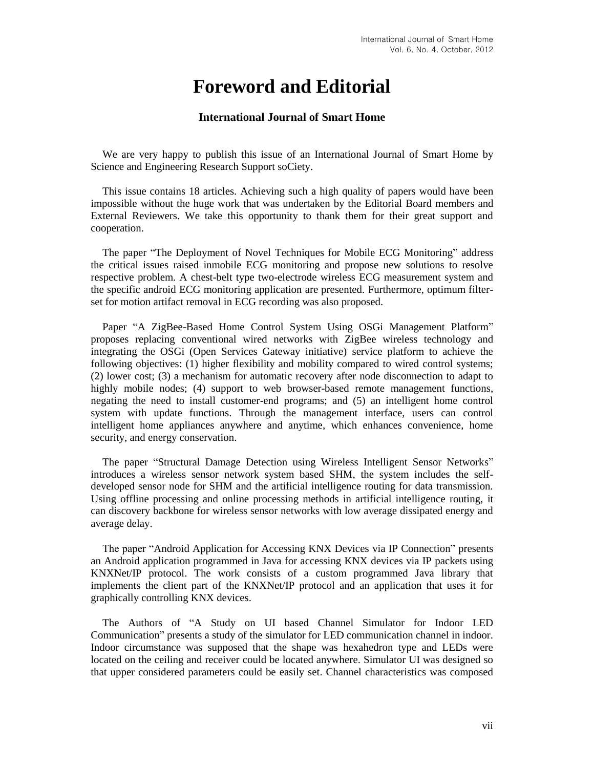## **Foreword and Editorial**

## **International Journal of Smart Home**

We are very happy to publish this issue of an International Journal of Smart Home by Science and Engineering Research Support soCiety.

This issue contains 18 articles. Achieving such a high quality of papers would have been impossible without the huge work that was undertaken by the Editorial Board members and External Reviewers. We take this opportunity to thank them for their great support and cooperation.

The paper "The Deployment of Novel Techniques for Mobile ECG Monitoring" address the critical issues raised inmobile ECG monitoring and propose new solutions to resolve respective problem. A chest-belt type two-electrode wireless ECG measurement system and the specific android ECG monitoring application are presented. Furthermore, optimum filterset for motion artifact removal in ECG recording was also proposed.

Paper "A ZigBee-Based Home Control System Using OSGi Management Platform" proposes replacing conventional wired networks with ZigBee wireless technology and integrating the OSGi (Open Services Gateway initiative) service platform to achieve the following objectives: (1) higher flexibility and mobility compared to wired control systems; (2) lower cost; (3) a mechanism for automatic recovery after node disconnection to adapt to highly mobile nodes; (4) support to web browser-based remote management functions, negating the need to install customer-end programs; and (5) an intelligent home control system with update functions. Through the management interface, users can control intelligent home appliances anywhere and anytime, which enhances convenience, home security, and energy conservation.

The paper "Structural Damage Detection using Wireless Intelligent Sensor Networks" introduces a wireless sensor network system based SHM, the system includes the selfdeveloped sensor node for SHM and the artificial intelligence routing for data transmission. Using offline processing and online processing methods in artificial intelligence routing, it can discovery backbone for wireless sensor networks with low average dissipated energy and average delay.

The paper "Android Application for Accessing KNX Devices via IP Connection" presents an Android application programmed in Java for accessing KNX devices via IP packets using KNXNet/IP protocol. The work consists of a custom programmed Java library that implements the client part of the KNXNet/IP protocol and an application that uses it for graphically controlling KNX devices.

The Authors of "A Study on UI based Channel Simulator for Indoor LED Communication" presents a study of the simulator for LED communication channel in indoor. Indoor circumstance was supposed that the shape was hexahedron type and LEDs were located on the ceiling and receiver could be located anywhere. Simulator UI was designed so that upper considered parameters could be easily set. Channel characteristics was composed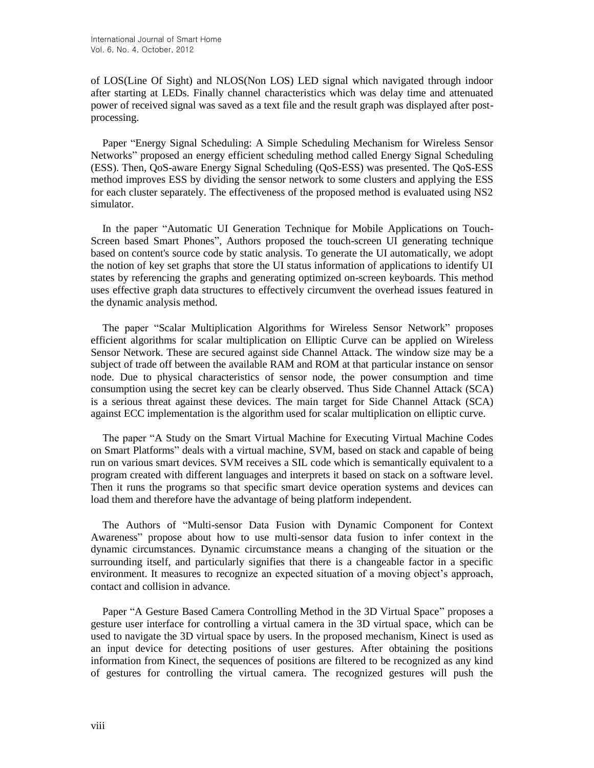of LOS(Line Of Sight) and NLOS(Non LOS) LED signal which navigated through indoor after starting at LEDs. Finally channel characteristics which was delay time and attenuated power of received signal was saved as a text file and the result graph was displayed after postprocessing.

Paper "Energy Signal Scheduling: A Simple Scheduling Mechanism for Wireless Sensor Networks" proposed an energy efficient scheduling method called Energy Signal Scheduling (ESS). Then, QoS-aware Energy Signal Scheduling (QoS-ESS) was presented. The QoS-ESS method improves ESS by dividing the sensor network to some clusters and applying the ESS for each cluster separately. The effectiveness of the proposed method is evaluated using NS2 simulator.

In the paper "Automatic UI Generation Technique for Mobile Applications on Touch-Screen based Smart Phones", Authors proposed the touch-screen UI generating technique based on content's source code by static analysis. To generate the UI automatically, we adopt the notion of key set graphs that store the UI status information of applications to identify UI states by referencing the graphs and generating optimized on-screen keyboards. This method uses effective graph data structures to effectively circumvent the overhead issues featured in the dynamic analysis method.

The paper "Scalar Multiplication Algorithms for Wireless Sensor Network" proposes efficient algorithms for scalar multiplication on Elliptic Curve can be applied on Wireless Sensor Network. These are secured against side Channel Attack. The window size may be a subject of trade off between the available RAM and ROM at that particular instance on sensor node. Due to physical characteristics of sensor node, the power consumption and time consumption using the secret key can be clearly observed. Thus Side Channel Attack (SCA) is a serious threat against these devices. The main target for Side Channel Attack (SCA) against ECC implementation is the algorithm used for scalar multiplication on elliptic curve.

The paper "A Study on the Smart Virtual Machine for Executing Virtual Machine Codes on Smart Platforms" deals with a virtual machine, SVM, based on stack and capable of being run on various smart devices. SVM receives a SIL code which is semantically equivalent to a program created with different languages and interprets it based on stack on a software level. Then it runs the programs so that specific smart device operation systems and devices can load them and therefore have the advantage of being platform independent.

The Authors of "Multi-sensor Data Fusion with Dynamic Component for Context Awareness" propose about how to use multi-sensor data fusion to infer context in the dynamic circumstances. Dynamic circumstance means a changing of the situation or the surrounding itself, and particularly signifies that there is a changeable factor in a specific environment. It measures to recognize an expected situation of a moving object's approach, contact and collision in advance.

Paper "A Gesture Based Camera Controlling Method in the 3D Virtual Space" proposes a gesture user interface for controlling a virtual camera in the 3D virtual space, which can be used to navigate the 3D virtual space by users. In the proposed mechanism, Kinect is used as an input device for detecting positions of user gestures. After obtaining the positions information from Kinect, the sequences of positions are filtered to be recognized as any kind of gestures for controlling the virtual camera. The recognized gestures will push the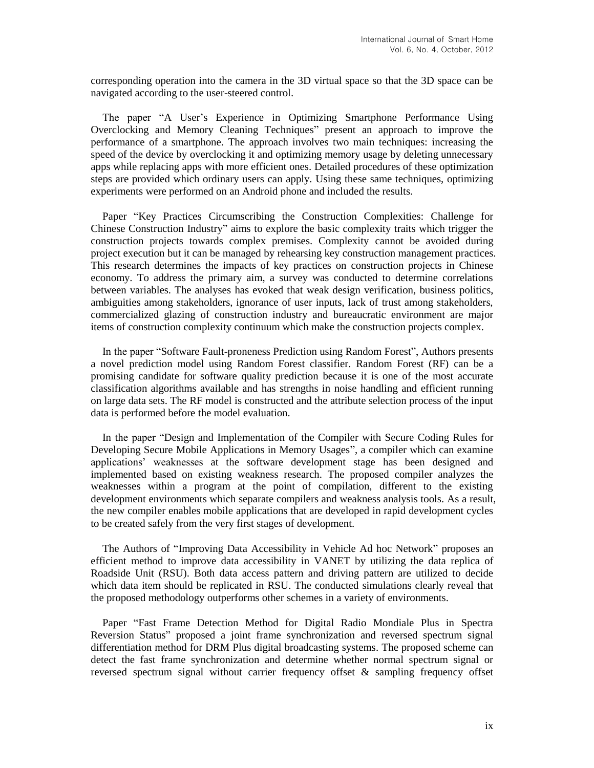corresponding operation into the camera in the 3D virtual space so that the 3D space can be navigated according to the user-steered control.

The paper "A User's Experience in Optimizing Smartphone Performance Using Overclocking and Memory Cleaning Techniques" present an approach to improve the performance of a smartphone. The approach involves two main techniques: increasing the speed of the device by overclocking it and optimizing memory usage by deleting unnecessary apps while replacing apps with more efficient ones. Detailed procedures of these optimization steps are provided which ordinary users can apply. Using these same techniques, optimizing experiments were performed on an Android phone and included the results.

Paper "Key Practices Circumscribing the Construction Complexities: Challenge for Chinese Construction Industry" aims to explore the basic complexity traits which trigger the construction projects towards complex premises. Complexity cannot be avoided during project execution but it can be managed by rehearsing key construction management practices. This research determines the impacts of key practices on construction projects in Chinese economy. To address the primary aim, a survey was conducted to determine correlations between variables. The analyses has evoked that weak design verification, business politics, ambiguities among stakeholders, ignorance of user inputs, lack of trust among stakeholders, commercialized glazing of construction industry and bureaucratic environment are major items of construction complexity continuum which make the construction projects complex.

In the paper "Software Fault-proneness Prediction using Random Forest", Authors presents a novel prediction model using Random Forest classifier. Random Forest (RF) can be a promising candidate for software quality prediction because it is one of the most accurate classification algorithms available and has strengths in noise handling and efficient running on large data sets. The RF model is constructed and the attribute selection process of the input data is performed before the model evaluation.

In the paper "Design and Implementation of the Compiler with Secure Coding Rules for Developing Secure Mobile Applications in Memory Usages", a compiler which can examine applications' weaknesses at the software development stage has been designed and implemented based on existing weakness research. The proposed compiler analyzes the weaknesses within a program at the point of compilation, different to the existing development environments which separate compilers and weakness analysis tools. As a result, the new compiler enables mobile applications that are developed in rapid development cycles to be created safely from the very first stages of development.

The Authors of "Improving Data Accessibility in Vehicle Ad hoc Network" proposes an efficient method to improve data accessibility in VANET by utilizing the data replica of Roadside Unit (RSU). Both data access pattern and driving pattern are utilized to decide which data item should be replicated in RSU. The conducted simulations clearly reveal that the proposed methodology outperforms other schemes in a variety of environments.

Paper "Fast Frame Detection Method for Digital Radio Mondiale Plus in Spectra Reversion Status" proposed a joint frame synchronization and reversed spectrum signal differentiation method for DRM Plus digital broadcasting systems. The proposed scheme can detect the fast frame synchronization and determine whether normal spectrum signal or reversed spectrum signal without carrier frequency offset & sampling frequency offset